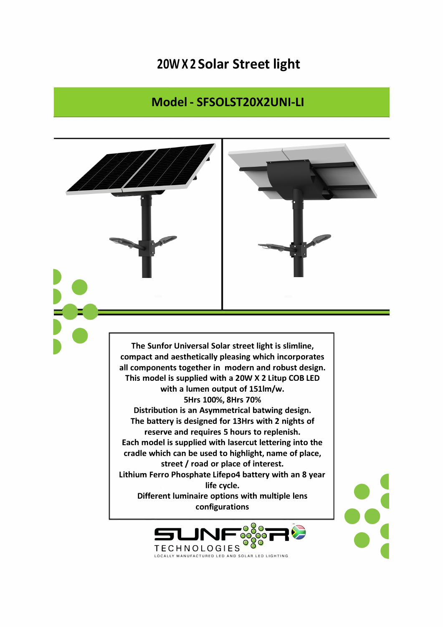## **20W X 2 Solar Street light**

## **Model - SFSOLST20X2UNI-LI**